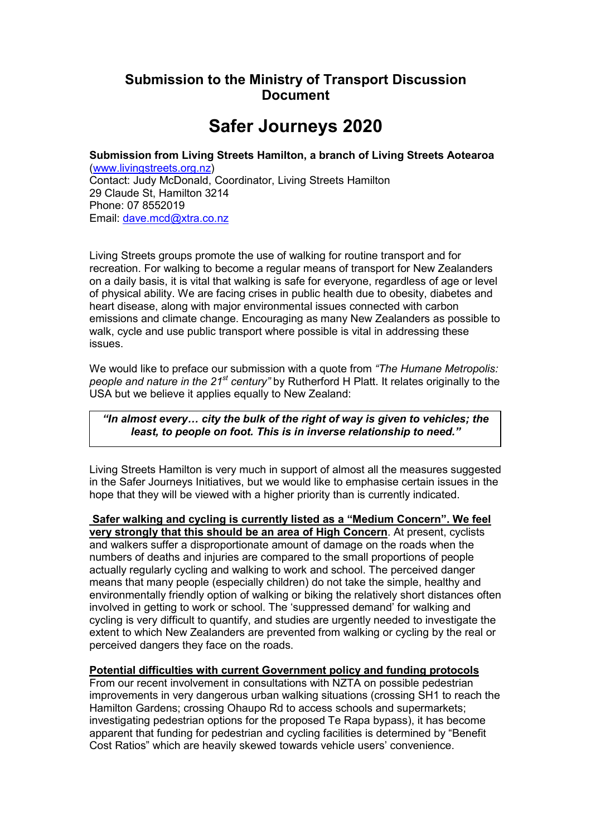# **Submission to the Ministry of Transport Discussion Document**

# **Safer Journeys 2020**

**Submission from Living Streets Hamilton, a branch of Living Streets Aotearoa** ([www.livingstreets.org.nz\)](http://www.livingstreets.org.nz/) Contact: Judy McDonald, Coordinator, Living Streets Hamilton 29 Claude St, Hamilton 3214 Phone: 07 8552019 Email: [dave.mcd@xtra.co.nz](mailto:dave.mcd@xtra.co.nz)

Living Streets groups promote the use of walking for routine transport and for recreation. For walking to become a regular means of transport for New Zealanders on a daily basis, it is vital that walking is safe for everyone, regardless of age or level of physical ability. We are facing crises in public health due to obesity, diabetes and heart disease, along with major environmental issues connected with carbon emissions and climate change. Encouraging as many New Zealanders as possible to walk, cycle and use public transport where possible is vital in addressing these issues.

We would like to preface our submission with a quote from *"The Humane Metropolis: people and nature in the 21st century"* by Rutherford H Platt. It relates originally to the USA but we believe it applies equally to New Zealand:

# *"In almost every… city the bulk of the right of way is given to vehicles; the least, to people on foot. This is in inverse relationship to need."*

Living Streets Hamilton is very much in support of almost all the measures suggested in the Safer Journeys Initiatives, but we would like to emphasise certain issues in the hope that they will be viewed with a higher priority than is currently indicated.

 **Safer walking and cycling is currently listed as a "Medium Concern". We feel very strongly that this should be an area of High Concern**. At present, cyclists and walkers suffer a disproportionate amount of damage on the roads when the numbers of deaths and injuries are compared to the small proportions of people actually regularly cycling and walking to work and school. The perceived danger means that many people (especially children) do not take the simple, healthy and environmentally friendly option of walking or biking the relatively short distances often involved in getting to work or school. The 'suppressed demand' for walking and cycling is very difficult to quantify, and studies are urgently needed to investigate the extent to which New Zealanders are prevented from walking or cycling by the real or perceived dangers they face on the roads.

# **Potential difficulties with current Government policy and funding protocols**

From our recent involvement in consultations with NZTA on possible pedestrian improvements in very dangerous urban walking situations (crossing SH1 to reach the Hamilton Gardens; crossing Ohaupo Rd to access schools and supermarkets; investigating pedestrian options for the proposed Te Rapa bypass), it has become apparent that funding for pedestrian and cycling facilities is determined by "Benefit Cost Ratios" which are heavily skewed towards vehicle users' convenience.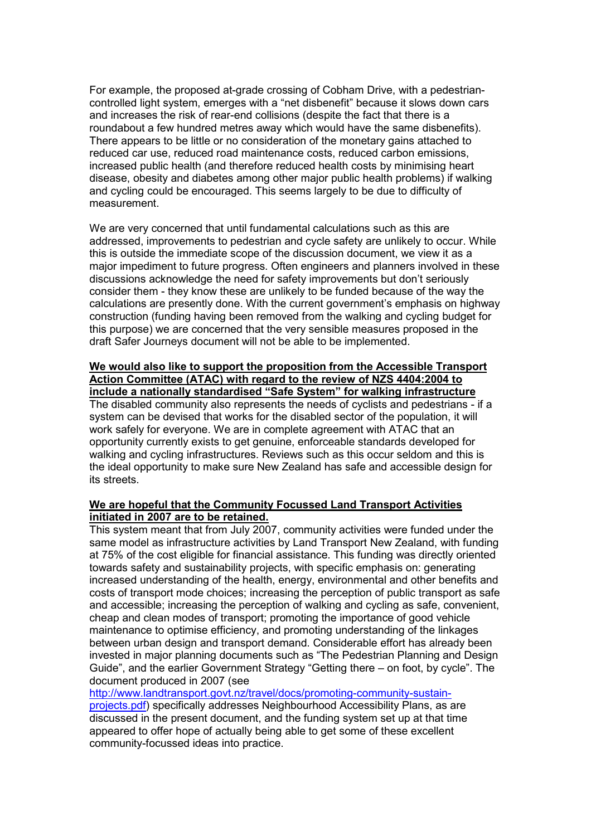For example, the proposed at-grade crossing of Cobham Drive, with a pedestriancontrolled light system, emerges with a "net disbenefit" because it slows down cars and increases the risk of rear-end collisions (despite the fact that there is a roundabout a few hundred metres away which would have the same disbenefits). There appears to be little or no consideration of the monetary gains attached to reduced car use, reduced road maintenance costs, reduced carbon emissions, increased public health (and therefore reduced health costs by minimising heart disease, obesity and diabetes among other major public health problems) if walking and cycling could be encouraged. This seems largely to be due to difficulty of measurement.

We are very concerned that until fundamental calculations such as this are addressed, improvements to pedestrian and cycle safety are unlikely to occur. While this is outside the immediate scope of the discussion document, we view it as a major impediment to future progress. Often engineers and planners involved in these discussions acknowledge the need for safety improvements but don't seriously consider them - they know these are unlikely to be funded because of the way the calculations are presently done. With the current government's emphasis on highway construction (funding having been removed from the walking and cycling budget for this purpose) we are concerned that the very sensible measures proposed in the draft Safer Journeys document will not be able to be implemented.

#### **We would also like to support the proposition from the Accessible Transport Action Committee (ATAC) with regard to the review of NZS 4404:2004 to include a nationally standardised "Safe System" for walking infrastructure**

The disabled community also represents the needs of cyclists and pedestrians - if a system can be devised that works for the disabled sector of the population, it will work safely for everyone. We are in complete agreement with ATAC that an opportunity currently exists to get genuine, enforceable standards developed for walking and cycling infrastructures. Reviews such as this occur seldom and this is the ideal opportunity to make sure New Zealand has safe and accessible design for its streets.

## **We are hopeful that the Community Focussed Land Transport Activities initiated in 2007 are to be retained.**

This system meant that from July 2007, community activities were funded under the same model as infrastructure activities by Land Transport New Zealand, with funding at 75% of the cost eligible for financial assistance. This funding was directly oriented towards safety and sustainability projects, with specific emphasis on: generating increased understanding of the health, energy, environmental and other benefits and costs of transport mode choices; increasing the perception of public transport as safe and accessible; increasing the perception of walking and cycling as safe, convenient, cheap and clean modes of transport; promoting the importance of good vehicle maintenance to optimise efficiency, and promoting understanding of the linkages between urban design and transport demand. Considerable effort has already been invested in major planning documents such as "The Pedestrian Planning and Design Guide", and the earlier Government Strategy "Getting there – on foot, by cycle". The document produced in 2007 (see

[http://www.landtransport.govt.nz/travel/docs/promoting-community-sustain-](http://www.landtransport.govt.nz/travel/docs/promoting-community-sustain-projects.pdf)

[projects.pdf\)](http://www.landtransport.govt.nz/travel/docs/promoting-community-sustain-projects.pdf) specifically addresses Neighbourhood Accessibility Plans, as are discussed in the present document, and the funding system set up at that time appeared to offer hope of actually being able to get some of these excellent community-focussed ideas into practice.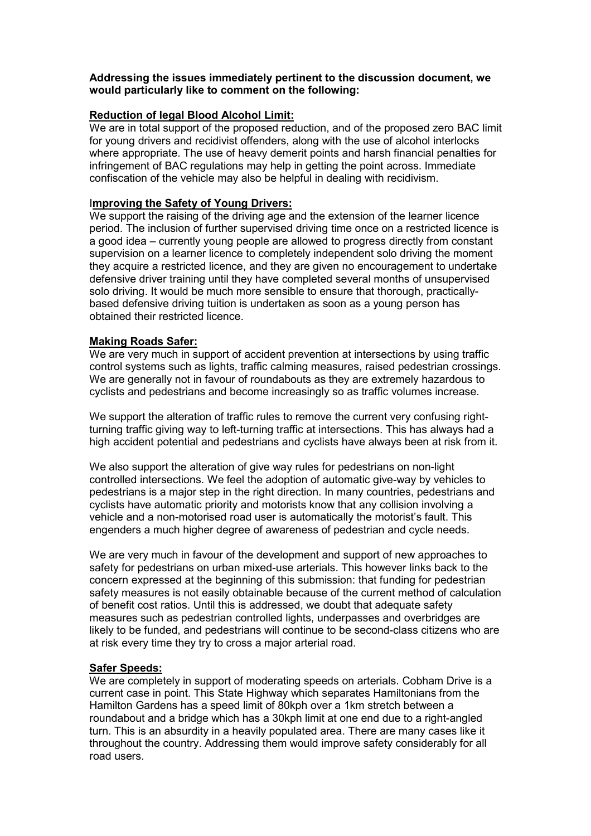## **Addressing the issues immediately pertinent to the discussion document, we would particularly like to comment on the following:**

# **Reduction of legal Blood Alcohol Limit:**

We are in total support of the proposed reduction, and of the proposed zero BAC limit for young drivers and recidivist offenders, along with the use of alcohol interlocks where appropriate. The use of heavy demerit points and harsh financial penalties for infringement of BAC regulations may help in getting the point across. Immediate confiscation of the vehicle may also be helpful in dealing with recidivism.

#### I**mproving the Safety of Young Drivers:**

We support the raising of the driving age and the extension of the learner licence period. The inclusion of further supervised driving time once on a restricted licence is a good idea – currently young people are allowed to progress directly from constant supervision on a learner licence to completely independent solo driving the moment they acquire a restricted licence, and they are given no encouragement to undertake defensive driver training until they have completed several months of unsupervised solo driving. It would be much more sensible to ensure that thorough, practicallybased defensive driving tuition is undertaken as soon as a young person has obtained their restricted licence.

#### **Making Roads Safer:**

We are very much in support of accident prevention at intersections by using traffic control systems such as lights, traffic calming measures, raised pedestrian crossings. We are generally not in favour of roundabouts as they are extremely hazardous to cyclists and pedestrians and become increasingly so as traffic volumes increase.

We support the alteration of traffic rules to remove the current very confusing rightturning traffic giving way to left-turning traffic at intersections. This has always had a high accident potential and pedestrians and cyclists have always been at risk from it.

We also support the alteration of give way rules for pedestrians on non-light controlled intersections. We feel the adoption of automatic give-way by vehicles to pedestrians is a major step in the right direction. In many countries, pedestrians and cyclists have automatic priority and motorists know that any collision involving a vehicle and a non-motorised road user is automatically the motorist's fault. This engenders a much higher degree of awareness of pedestrian and cycle needs.

We are very much in favour of the development and support of new approaches to safety for pedestrians on urban mixed-use arterials. This however links back to the concern expressed at the beginning of this submission: that funding for pedestrian safety measures is not easily obtainable because of the current method of calculation of benefit cost ratios. Until this is addressed, we doubt that adequate safety measures such as pedestrian controlled lights, underpasses and overbridges are likely to be funded, and pedestrians will continue to be second-class citizens who are at risk every time they try to cross a major arterial road.

#### **Safer Speeds:**

We are completely in support of moderating speeds on arterials. Cobham Drive is a current case in point. This State Highway which separates Hamiltonians from the Hamilton Gardens has a speed limit of 80kph over a 1km stretch between a roundabout and a bridge which has a 30kph limit at one end due to a right-angled turn. This is an absurdity in a heavily populated area. There are many cases like it throughout the country. Addressing them would improve safety considerably for all road users.